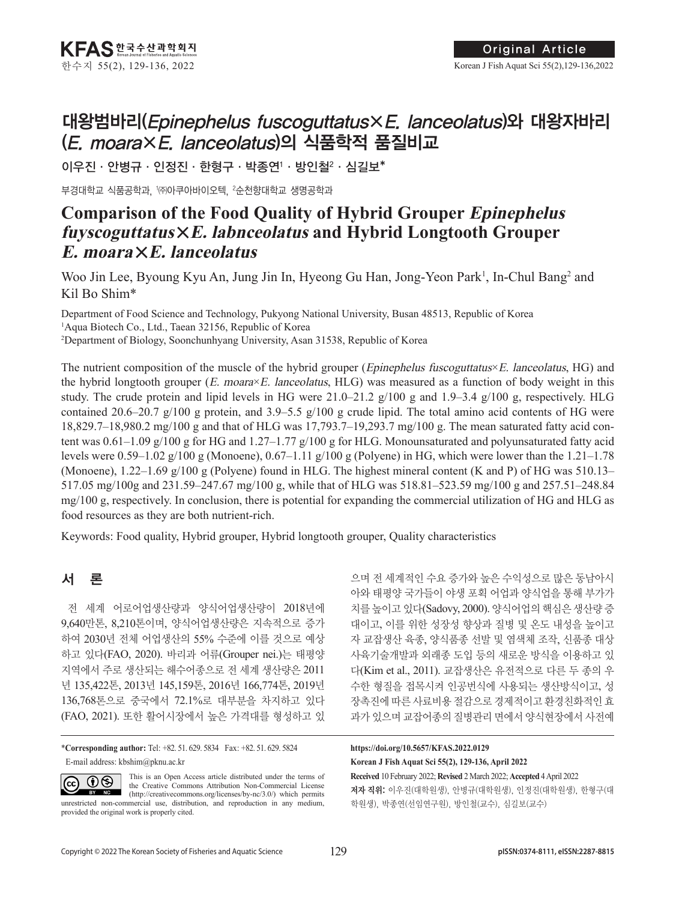# 대왕범바리(Epinephelus fuscoguttatus×E. lanceolatus)와 대왕자바리 (E. moara×E. lanceolatus)의 식품학적 품질비교

이우진 · 안병규 · 인정진 · 한형구 · 박종연' · 방인철² · 심길보\*

부경대학교 식품공학과, '㈜아쿠아바이오텍, <del>'</del>순천향대학교 생명공학과

## **Comparison of the Food Quality of Hybrid Grouper Epinephelus fuyscoguttatus**×**E. labnceolatus and Hybrid Longtooth Grouper E. moara**×**E. lanceolatus**

Woo Jin Lee, Byoung Kyu An, Jung Jin In, Hyeong Gu Han, Jong-Yeon Park<sup>1</sup>, In-Chul Bang<sup>2</sup> and Kil Bo Shim\*

Department of Food Science and Technology, Pukyong National University, Busan 48513, Republic of Korea 1 Aqua Biotech Co., Ltd., Taean 32156, Republic of Korea 2 Department of Biology, Soonchunhyang University, Asan 31538, Republic of Korea

The nutrient composition of the muscle of the hybrid grouper (*Epinephelus fuscoguttatus*×*E. lanceolatus*, HG) and the hybrid longtooth grouper (*E. moara*×*E. lanceolatus*, HLG) was measured as a function of body weight in this study. The crude protein and lipid levels in HG were  $21.0-21.2$  g/100 g and  $1.9-3.4$  g/100 g, respectively. HLG contained 20.6–20.7 g/100 g protein, and 3.9–5.5 g/100 g crude lipid. The total amino acid contents of HG were 18,829.7–18,980.2 mg/100 g and that of HLG was 17,793.7–19,293.7 mg/100 g. The mean saturated fatty acid content was  $0.61-1.09$  g/100 g for HG and  $1.27-1.77$  g/100 g for HLG. Monounsaturated and polyunsaturated fatty acid levels were 0.59–1.02 g/100 g (Monoene), 0.67–1.11 g/100 g (Polyene) in HG, which were lower than the 1.21–1.78 (Monoene),  $1.22-1.69$  g/100 g (Polyene) found in HLG. The highest mineral content (K and P) of HG was 510.13– 517.05 mg/100g and 231.59–247.67 mg/100 g, while that of HLG was 518.81–523.59 mg/100 g and 257.51–248.84 mg/100 g, respectively. In conclusion, there is potential for expanding the commercial utilization of HG and HLG as food resources as they are both nutrient-rich.

Keywords: Food quality, Hybrid grouper, Hybrid longtooth grouper, Quality characteristics

### 서 론

전 세계 어로어업생산량과 양식어업생산량이 2018년에 9,640만톤, 8,210톤이며, 양식어업생산량은 지속적으로 증가 하여 2030년 전체 어업생산의 55% 수준에 이를 것으로 예상 하고 있다(FAO, 2020). 바리과 어류(Grouper nei.)는 태평양 지역에서 주로 생산되는 해수어종으로 전 세계 생산량은 2011 년 135,422톤, 2013년 145,159톤, 2016년 166,774톤, 2019년 136,768톤으로 중국에서 72.1%로 대부분을 차지하고 있다 (FAO, 2021). 또한 활어시장에서 높은 가격대를 형성하고 있

\***Corresponding author:** Tel: +82. 51. 629. 5834 Fax: +82. 51. 629. 5824 E-mail address: kbshim@pknu.ac.kr

This is an Open Access article distributed under the terms of  $\odot\odot$  $|$  (cc) BY NC

the Creative Commons Attribution Non-Commercial License (http://creativecommons.org/licenses/by-nc/3.0/) which permits unrestricted non-commercial use, distribution, and reproduction in any medium, provided the original work is properly cited.

으며 전 세계적인 수요 증가와 높은 수익성으로 많은 동남아시 아와 태평양 국가들이 야생 포획 어업과 양식업을 통해 부가가 치를 높이고 있다(Sadovy, 2000). 양식어업의 핵심은 생산량 증 대이고, 이를 위한 성장성 향상과 질병 및 온도 내성을 높이고 자 교잡생산 육종, 양식품종 선발 및 염색체 조작, 신품종 대상 사육기술개발과 외래종 도입 등의 새로운 방식을 이용하고 있 다(Kim et al., 2011). 교잡생산은 유전적으로 다른 두 종의 우 수한 형질을 접목시켜 인공번식에 사용되는 생산방식이고, 성 장촉진에 따른 사료비용 절감으로 경제적이고 환경친화적인 효 과가 있으며 교잡어종의 질병관리 면에서 양식현장에서 사전예

#### **Received** 10 February 2022; **Revised** 2 March 2022; **Accepted** 4 April 2022 **https://doi.org/10.5657/KFAS.2022.0129 Korean J Fish Aquat Sci 55(2), 129-136, April 2022**

저자 직위: 이우진(대학원생), 안병규(대학원생), 인정진(대학원생), 한형구(대 학원생), 박종연(선임연구원), 방인철(교수), 심길보(교수)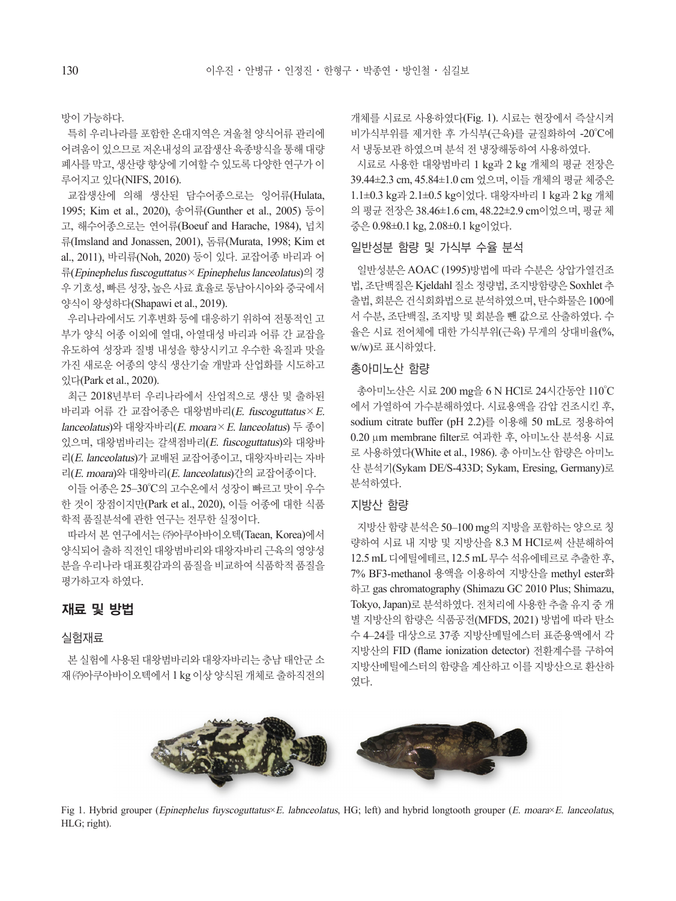방이 가능하다.

특히 우리나라를 포함한 온대지역은 겨울철 양식어류 관리에 어려움이 있으므로 저온내성의 교잡생산 육종방식을 통해 대량 폐사를 막고, 생산량 향상에 기여할 수 있도록 다양한 연구가 이 루어지고 있다(NIFS, 2016).

교잡생산에 의해 생산된 담수어종으로는 잉어류(Hulata, 1995; Kim et al., 2020), 송어류(Gunther et al., 2005) 등이 고, 해수어종으로는 연어류(Boeuf and Harache, 1984), 넙치 류(Imsland and Jonassen, 2001), 돔류(Murata, 1998; Kim et al., 2011), 바리류(Noh, 2020) 등이 있다. 교잡어종 바리과 어 류(Epinephelus fuscoguttatus×Epinephelus lanceolatus)의 경 우 기호성, 빠른 성장, 높은 사료 효율로 동남아시아와 중국에서 양식이 왕성하다(Shapawi et al., 2019).

우리나라에서도 기후변화 등에 대응하기 위하여 전통적인 고 부가 양식 어종 이외에 열대, 아열대성 바리과 어류 간 교잡을 유도하여 성장과 질병 내성을 향상시키고 우수한 육질과 맛을 가진 새로운 어종의 양식 생산기술 개발과 산업화를 시도하고 있다(Park et al., 2020).

최근 2018년부터 우리나라에서 산업적으로 생산 및 출하된 바리과 어류 간 교잡어종은 대왕범바리(E. fuscoguttatus×E. lanceolatus)와 대왕자바리(E. moara×E. lanceolatus) 두 종이 있으며, 대왕범바리는 갈색점바리(E. fuscoguttatus)와 대왕바 리(E. lanceolatus)가 교배된 교잡어종이고, 대왕자바리는 자바 리(E. moara)와 대왕바리(E. lanceolatus)간의 교잡어종이다.

이들 어종은 25–30°C의 고수온에서 성장이 빠르고 맛이 우수 한 것이 장점이지만(Park et al., 2020), 이들 어종에 대한 식품 학적 품질분석에 관한 연구는 전무한 실정이다.

따라서 본 연구에서는 ㈜아쿠아바이오텍(Taean, Korea)에서 양식되어 출하 직전인 대왕범바리와 대왕자바리 근육의 영양성 분을 우리나라 대표횟감과의 품질을 비교하여 식품학적 품질을 평가하고자 하였다.

#### 재료 및 방법

#### 실험재료

본 실험에 사용된 대왕범바리와 대왕자바리는 충남 태안군 소 재 ㈜아쿠아바이오텍에서 1 kg 이상 양식된 개체로 출하직전의 개체를 시료로 사용하였다(Fig. 1). 시료는 현장에서 즉살시켜 비가식부위를 제거한 후 가식부(근육)를 균질화하여 -20°C에 서 냉동보관 하였으며 분석 전 냉장해동하여 사용하였다.

시료로 사용한 대왕범바리 1 kg과 2 kg 개체의 평균 전장은 39.44±2.3 cm, 45.84±1.0 cm 었으며, 이들 개체의 평균 체중은 1.1±0.3 kg과 2.1±0.5 kg이었다. 대왕자바리 1 kg과 2 kg 개체 의 평균 전장은 38.46±1.6 cm, 48.22±2.9 cm이었으며, 평균 체 중은 0.98±0.1 kg, 2.08±0.1 kg이었다.

#### 일반성분 함량 및 가식부 수율 분석

일반성분은 AOAC (1995)방법에 따라 수분은 상압가열건조 법, 조단백질은 Kjeldahl 질소 정량법, 조지방함량은 Soxhlet 추 출법, 회분은 건식회화법으로 분석하였으며, 탄수화물은 100에 서 수분, 조단백질, 조지방 및 회분을 뺀 값으로 산출하였다. 수 율은 시료 전어체에 대한 가식부위(근육) 무게의 상대비율(%, w/w)로 표시하였다.

#### 총아미노산 함량

총아미노산은 시료 200 mg을 6 N HCl로 24시간동안 110°C 에서 가열하여 가수분해하였다. 시료용액을 감압 건조시킨 후, sodium citrate buffer (pH 2.2)를 이용해 50 mL로 정용하여 0.20 μm membrane filter로 여과한 후, 아미노산 분석용 시료 로 사용하였다(White et al., 1986). 총 아미노산 함량은 아미노 산 분석기(Sykam DE/S-433D; Sykam, Eresing, Germany)로 분석하였다.

#### 지방산 함량

지방산 함량 분석은 50–100 mg의 지방을 포함하는 양으로 칭 량하여 시료 내 지방 및 지방산을 8.3 M HCl로써 산분해하여 12.5 mL 디에틸에테르, 12.5 mL 무수 석유에테르로 추출한 후, 7% BF3-methanol 용액을 이용하여 지방산을 methyl ester화 하고 gas chromatography (Shimazu GC 2010 Plus; Shimazu, Tokyo, Japan)로 분석하였다. 전처리에 사용한 추출 유지 중 개 별 지방산의 함량은 식품공전(MFDS, 2021) 방법에 따라 탄소 수 4–24를 대상으로 37종 지방산메틸에스터 표준용액에서 각 지방산의 FID (flame ionization detector) 전환계수를 구하여 지방산메틸에스터의 함량을 계산하고 이를 지방산으로 환산하 였다.



Fig 1. Hybrid grouper (Epinephelus fuyscoguttatus×E. labnceolatus, HG; left) and hybrid longtooth grouper (E. moara×E. lanceolatus, HLG; right).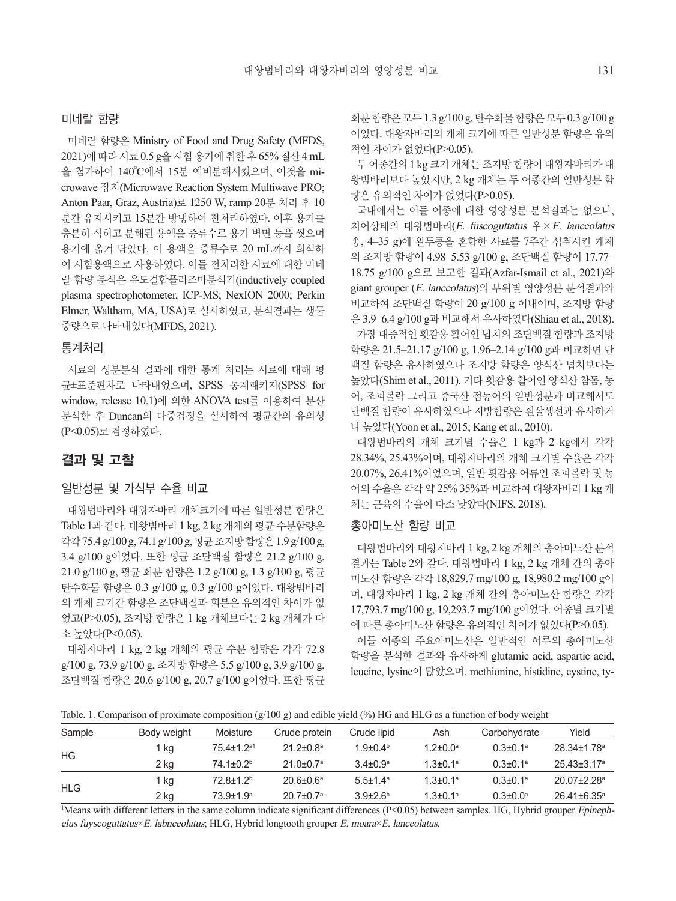#### 미네랄 함량

미네랄 함량은 Ministry of Food and Drug Safety (MFDS, 2021)에 따라 시료 0.5 g을 시험 용기에 취한 후 65% 질산 4 mL 을 첨가하여 140°C에서 15분 예비분해시켰으며, 이것을 microwave 장치(Microwave Reaction System Multiwave PRO; Anton Paar, Graz, Austria)로 1250 W, ramp 20분 처리 후 10 분간 유지시키고 15분간 방냉하여 전처리하였다. 이후 용기를 충분히 식히고 분해된 용액을 증류수로 용기 벽면 등을 씻으며 용기에 옮겨 담았다. 이 용액을 증류수로 20 mL까지 희석하 여 시험용액으로 사용하였다. 이들 전처리한 시료에 대한 미네 랄 함량 분석은 유도결합플라즈마분석기(inductively coupled plasma spectrophotometer, ICP-MS; NexION 2000; Perkin Elmer, Waltham, MA, USA)로 실시하였고, 분석결과는 생물 중량으로 나타내었다(MFDS, 2021).

#### 통계처리

시료의 성분분석 결과에 대한 통계 처리는 시료에 대해 평 균±표준편차로 나타내었으며, SPSS 통계패키지(SPSS for window, release 10.1)에 의한 ANOVA test를 이용하여 분산 분석한 후 Duncan의 다중검정을 실시하여 평균간의 유의성 (P<0.05)로 검정하였다.

#### 결과 및 고찰

#### 일반성분 및 가식부 수율 비교

대왕범바리와 대왕자바리 개체크기에 따른 일반성분 함량은 Table 1과 같다. 대왕범바리 1 kg, 2 kg 개체의 평균 수분함량은 각각 75.4 g/100 g, 74.1 g/100 g, 평균조지방함량은 1.9 g/100 g, 3.4 g/100 g이었다. 또한 평균 조단백질 함량은 21.2 g/100 g, 21.0 g/100 g, 평균 회분 함량은 1.2 g/100 g, 1.3 g/100 g, 평균 탄수화물 함량은 0.3 g/100 g, 0.3 g/100 g이었다. 대왕범바리 의 개체 크기간 함량은 조단백질과 회분은 유의적인 차이가 없 었고(P>0.05), 조지방 함량은 1 kg 개체보다는 2 kg 개체가 다 소 높았다(P<0.05).

대왕자바리 1 kg, 2 kg 개체의 평균 수분 함량은 각각 72.8 g/100 g, 73.9 g/100 g, 조지방 함량은 5.5 g/100 g, 3.9 g/100 g, 조단백질 함량은 20.6 g/100 g, 20.7 g/100 g이었다. 또한 평균

회분함량은모두 1.3 g/100 g, 탄수화물함량은모두 0.3 g/100 g 이었다. 대왕자바리의 개체 크기에 따른 일반성분 함량은 유의 적인 차이가 없었다(P>0.05).

두 어종간의 1 kg 크기 개체는 조지방 함량이 대왕자바리가 대 왕범바리보다 높았지만, 2 kg 개체는 두 어종간의 일반성분 함 량은 유의적인 차이가 없었다(P>0.05).

국내에서는 이들 어종에 대한 영양성분 분석결과는 없으나, 치어상태의 대왕범바리(E. fuscoguttatus ♀×E. lanceolatus ♂, 4–35 g)에 완두콩을 혼합한 사료를 7주간 섭취시킨 개체 의 조지방 함량이 4.98–5.53 g/100 g, 조단백질 함량이 17.77– 18.75 g/100 g으로 보고한 결과(Azfar-Ismail et al., 2021)와 giant grouper (E. lanceolatus)의 부위별 영양성분 분석결과와 비교하여 조단백질 함량이 20 g/100 g 이내이며, 조지방 함량 은 3.9–6.4 g/100 g과 비교해서 유사하였다(Shiau et al., 2018). 가장 대중적인 횟감용 활어인 넙치의 조단백질 함량과 조지방 함량은 21.5–21.17 g/100 g, 1.96–2.14 g/100 g과 비교하면 단 백질 함량은 유사하였으나 조지방 함량은 양식산 넙치보다는 높았다(Shim et al., 2011). 기타 횟감용 활어인 양식산 참돔, 농 어, 조피볼락 그리고 중국산 점농어의 일반성분과 비교해서도 단백질 함량이 유사하였으나 지방함량은 흰살생선과 유사하거 나 높았다(Yoon et al., 2015; Kang et al., 2010).

대왕범바리의 개체 크기별 수율은 1 kg과 2 kg에서 각각 28.34%, 25.43%이며, 대왕자바리의 개체 크기별 수율은 각각 20.07%, 26.41%이었으며, 일반 횟감용 어류인 조피볼락 및 농 어의 수율은 각각 약 25% 35%과 비교하여 대왕자바리 1 kg 개 체는 근육의 수율이 다소 낮았다(NIFS, 2018).

#### 총아미노산 함량 비교

대왕범바리와 대왕자바리 1 kg, 2 kg 개체의 총아미노산 분석 결과는 Table 2와 같다. 대왕범바리 1 kg, 2 kg 개체 간의 총아 미노산 함량은 각각 18,829.7 mg/100 g, 18,980.2 mg/100 g이 며, 대왕자바리 1 kg, 2 kg 개체 간의 총아미노산 함량은 각각 17,793.7 mg/100 g, 19,293.7 mg/100 g이었다. 어종별 크기별 에 따른 총아미노산 함량은 유의적인 차이가 없었다(P>0.05).

이들 어종의 주요아미노산은 일반적인 어류의 총아미노산 함량을 분석한 결과와 유사하게 glutamic acid, aspartic acid, leucine, lysine이 많았으며. methionine, histidine, cystine, ty-

Table. 1. Comparison of proximate composition (g/100 g) and edible yield (%) HG and HLG as a function of body weight

| Sample     | Body weight | Moisture         | Crude protein               | Crude lipid   | Ash                        | Carbohydrate               | Yield                         |
|------------|-------------|------------------|-----------------------------|---------------|----------------------------|----------------------------|-------------------------------|
| HG         | 1 kg        | $75.4 + 1.2a1$   | $21.2 \pm 0.8$ <sup>a</sup> | $1.9 + 0.4b$  | $1.2 \pm 0.0^a$            | $0.3 \pm 0.1$ <sup>a</sup> | $28.34 \pm 1.78$ <sup>a</sup> |
|            | 2 kg        | $74.1 + 0.2b$    | $21.0 \pm 0.7$ <sup>a</sup> | $3.4 + 0.9a$  | $1.3 + 0.1a$               | $0.3 \pm 0.1$ <sup>a</sup> | $25.43 + 3.17a$               |
| <b>HLG</b> | 1 kg        | $72.8 + 1.2b$    | $20.6 \pm 0.6^a$            | $5.5 + 1.4^a$ | $1.3 \pm 0.1$ <sup>a</sup> | $0.3 \pm 0.1$ <sup>a</sup> | $20.07 + 2.28$ <sup>a</sup>   |
|            | $2$ kg      | $73.9 \pm 1.9^a$ | $20.7 \pm 0.7^{\circ}$      | $3.9 + 2.6b$  | $1.3 \pm 0.1$ <sup>a</sup> | $0.3 \pm 0.0^{\circ}$      | $26.41 \pm 6.35$ <sup>a</sup> |

Means with different letters in the same column indicate significant differences (P<0.05) between samples. HG, Hybrid grouper *Epineph*elus fuyscoguttatus×E. labnceolatus; HLG, Hybrid longtooth grouper E. moara×E. lanceolatus.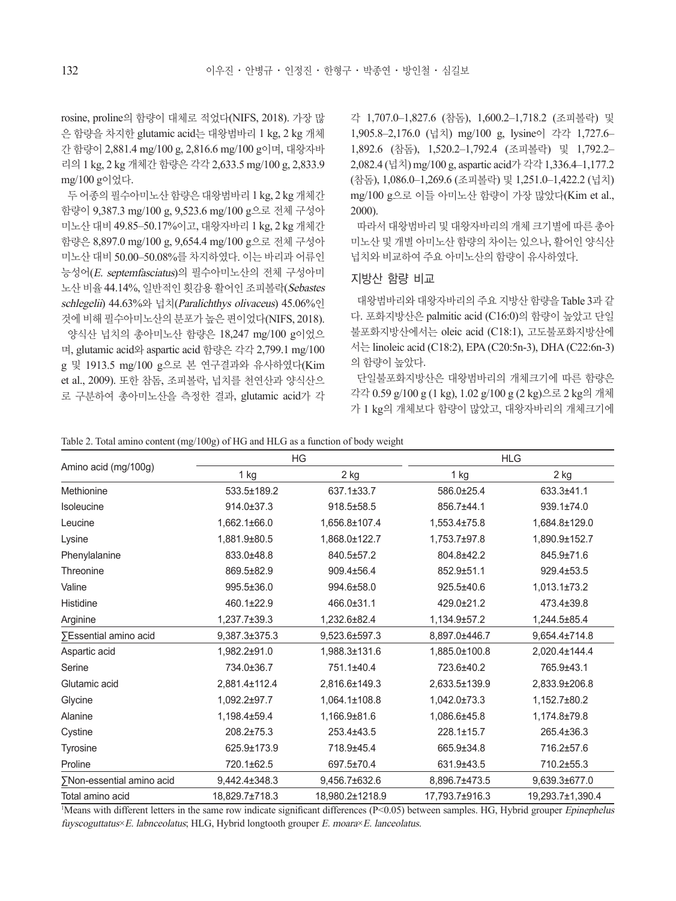rosine, proline의 함량이 대체로 적었다(NIFS, 2018). 가장 많 은 함량을 차지한 glutamic acid는 대왕범바리 1 kg, 2 kg 개체 간 함량이 2,881.4 mg/100 g, 2,816.6 mg/100 g이며, 대왕자바 리의 1 kg, 2 kg 개체간 함량은 각각 2,633.5 mg/100 g, 2,833.9 mg/100 g이었다.

두 어종의 필수아미노산 함량은 대왕범바리 1 kg, 2 kg 개체간 함량이 9,387.3 mg/100 g, 9,523.6 mg/100 g으로 전체 구성아 미노산 대비 49.85–50.17%이고, 대왕자바리 1 kg, 2 kg 개체간 함량은 8,897.0 mg/100 g, 9,654.4 mg/100 g으로 전체 구성아 미노산 대비 50.00–50.08%를 차지하였다. 이는 바리과 어류인 능성어(E. septemfasciatus)의 필수아미노산의 전체 구성아미 노산 비율 44.14%, 일반적인 횟감용 활어인 조피볼락(Sebastes schlegelii) 44.63%와 넙치(Paralichthys olivaceus) 45.06%인 것에 비해 필수아미노산의 분포가 높은 편이었다(NIFS, 2018). 양식산 넙치의 총아미노산 함량은 18,247 mg/100 g이었으 며, glutamic acid와 aspartic acid 함량은 각각 2,799.1 mg/100 g 및 1913.5 mg/100 g으로 본 연구결과와 유사하였다(Kim et al., 2009). 또한 참돔, 조피볼락, 넙치를 천연산과 양식산으 로 구분하여 총아미노산을 측정한 결과, glutamic acid가 각

각 1,707.0–1,827.6 (참돔), 1,600.2–1,718.2 (조피볼락) 및 1,905.8–2,176.0 (넙치) mg/100 g, lysine이 각각 1,727.6– 1,892.6 (참돔), 1,520.2–1,792.4 (조피볼락) 및 1,792.2– 2,082.4 (넙치) mg/100 g, aspartic acid가 각각 1,336.4–1,177.2 (참돔), 1,086.0–1,269.6 (조피볼락) 및 1,251.0–1,422.2 (넙치) mg/100 g으로 이들 아미노산 함량이 가장 많았다(Kim et al., 2000).

따라서 대왕범바리 및 대왕자바리의 개체 크기별에 따른 총아 미노산 및 개별 아미노산 함량의 차이는 있으나, 활어인 양식산 넙치와 비교하여 주요 아미노산의 함량이 유사하였다.

#### 지방산 함량 비교

대왕범바리와 대왕자바리의 주요 지방산 함량을 Table 3과 같 다. 포화지방산은 palmitic acid (C16:0)의 함량이 높았고 단일 불포화지방산에서는 oleic acid (C18:1), 고도불포화지방산에 서는 linoleic acid (C18:2), EPA (C20:5n-3), DHA (C22:6n-3) 의 함량이 높았다.

단일불포화지방산은 대왕범바리의 개체크기에 따른 함량은 각각 0.59 g/100 g (1 kg), 1.02 g/100 g (2 kg)으로 2 kg의 개체 가 1 kg의 개체보다 함량이 많았고, 대왕자바리의 개체크기에

| Table 2. Total amino content (mg/100g) of HG and HLG as a function of body weight |  |  |  |  |  |  |  |  |  |  |
|-----------------------------------------------------------------------------------|--|--|--|--|--|--|--|--|--|--|
|-----------------------------------------------------------------------------------|--|--|--|--|--|--|--|--|--|--|

|                           |                | HG              | <b>HLG</b>     |                  |  |
|---------------------------|----------------|-----------------|----------------|------------------|--|
| Amino acid (mg/100g)      | 2 kg<br>1 kg   |                 | 1 kg           | 2 kg             |  |
| Methionine                | 533.5±189.2    | 637.1±33.7      | 586.0±25.4     | 633.3±41.1       |  |
| Isoleucine                | 914.0±37.3     | 918.5±58.5      | 856.7±44.1     | 939.1±74.0       |  |
| Leucine                   | 1,662.1±66.0   | 1,656.8±107.4   | 1,553.4±75.8   | 1,684.8±129.0    |  |
| Lysine                    | 1,881.9±80.5   | 1,868.0±122.7   | 1,753.7±97.8   | 1,890.9±152.7    |  |
| Phenylalanine             | 833.0±48.8     | 840.5±57.2      | 804.8±42.2     | 845.9±71.6       |  |
| Threonine                 | 869.5±82.9     | 909.4±56.4      | 852.9±51.1     | 929.4±53.5       |  |
| Valine                    | 995.5±36.0     | 994.6±58.0      | 925.5±40.6     | $1,013.1\pm73.2$ |  |
| Histidine                 | 460.1±22.9     | 466.0±31.1      | 429.0±21.2     | 473.4±39.8       |  |
| Arginine                  | 1,237.7±39.3   | 1,232.6±82.4    | 1,134.9±57.2   | 1,244.5±85.4     |  |
| ∑Essential amino acid     | 9,387.3±375.3  | 9,523.6±597.3   | 8,897.0±446.7  | 9,654.4±714.8    |  |
| Aspartic acid             | 1,982.2±91.0   | 1,988.3±131.6   | 1,885.0±100.8  | 2,020.4±144.4    |  |
| Serine                    | 734.0±36.7     | 751.1±40.4      | 723.6±40.2     | 765.9±43.1       |  |
| Glutamic acid             | 2,881.4±112.4  | 2,816.6±149.3   | 2,633.5±139.9  | 2,833.9±206.8    |  |
| Glycine                   | 1,092.2±97.7   | 1,064.1±108.8   | 1,042.0±73.3   | 1,152.7±80.2     |  |
| Alanine                   | 1,198.4±59.4   | 1,166.9±81.6    | 1,086.6±45.8   | 1,174.8±79.8     |  |
| Cystine                   | 208.2±75.3     | 253.4±43.5      | 228.1±15.7     | 265.4±36.3       |  |
| Tyrosine                  | 625.9±173.9    | 718.9±45.4      | 665.9±34.8     | 716.2±57.6       |  |
| Proline                   | 720.1±62.5     | 697.5±70.4      | 631.9±43.5     | 710.2±55.3       |  |
| ∑Non-essential amino acid | 9,442.4±348.3  | 9,456.7±632.6   | 8,896.7±473.5  | 9,639.3±677.0    |  |
| Total amino acid          | 18,829.7±718.3 | 18,980.2±1218.9 | 17.793.7±916.3 | 19,293.7±1,390.4 |  |

<sup>1</sup>Means with different letters in the same row indicate significant differences (P<0.05) between samples. HG, Hybrid grouper *Epinephelus* fuyscoguttatus×E. labnceolatus; HLG, Hybrid longtooth grouper E. moara×E. lanceolatus.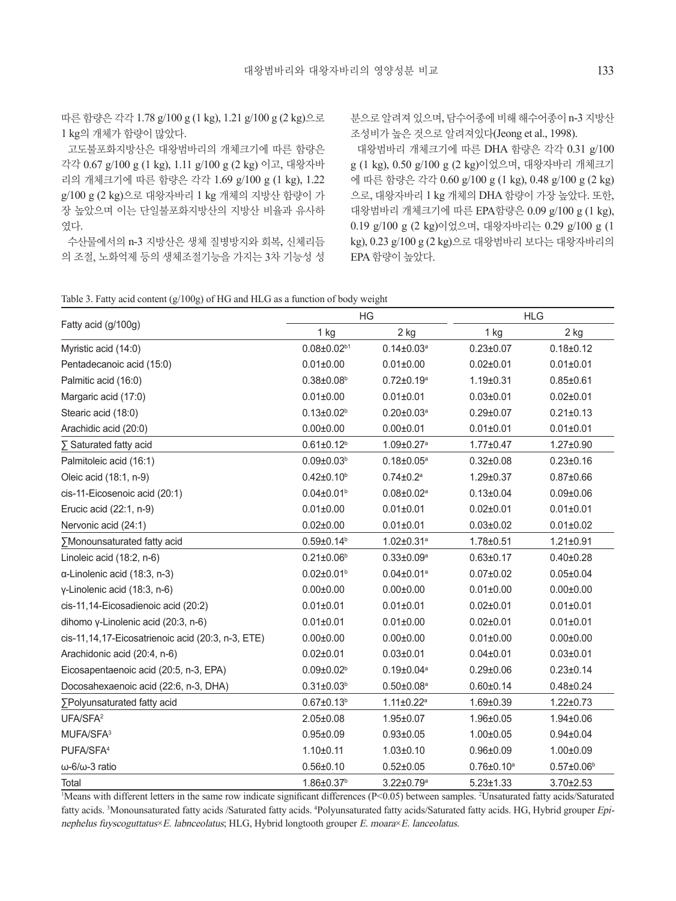따른 함량은 각각 1.78 g/100 g (1 kg), 1.21 g/100 g (2 kg)으로 1 kg의 개체가 함량이 많았다.

고도불포화지방산은 대왕범바리의 개체크기에 따른 함량은 각각 0.67 g/100 g (1 kg), 1.11 g/100 g (2 kg) 이고, 대왕자바 리의 개체크기에 따른 함량은 각각 1.69 g/100 g (1 kg), 1.22 g/100 g (2 kg)으로 대왕자바리 1 kg 개체의 지방산 함량이 가 장 높았으며 이는 단일불포화지방산의 지방산 비율과 유사하 였다.

수산물에서의 n-3 지방산은 생체 질병방지와 회복, 신체리듬 의 조절, 노화억제 등의 생체조절기능을 가지는 3차 기능성 성

분으로 알려져 있으며, 담수어종에 비해 해수어종이 n-3 지방산 조성비가 높은 것으로 알려져있다(Jeong et al., 1998).

대왕범바리 개체크기에 따른 DHA 함량은 각각 0.31 g/100 g (1 kg), 0.50 g/100 g (2 kg)이었으며, 대왕자바리 개체크기 에 따른 함량은 각각 0.60 g/100 g (1 kg), 0.48 g/100 g (2 kg) 으로, 대왕자바리 1 kg 개체의 DHA 함량이 가장 높았다. 또한, 대왕범바리 개체크기에 따른 EPA함량은 0.09 g/100 g (1 kg), 0.19 g/100 g (2 kg)이었으며, 대왕자바리는 0.29 g/100 g (1 kg), 0.23 g/100 g (2 kg)으로 대왕범바리 보다는 대왕자바리의 EPA 함량이 높았다.

| Table 3. Fatty acid content (g/100g) of HG and HLG as a function of body weight |  |  |  |  |
|---------------------------------------------------------------------------------|--|--|--|--|
|                                                                                 |  |  |  |  |

|                                                   |                              | HG                           | <b>HLG</b>        |                   |  |
|---------------------------------------------------|------------------------------|------------------------------|-------------------|-------------------|--|
| Fatty acid (g/100g)                               | 1 kg                         | 2 kg                         | 1 kg              | 2 kg              |  |
| Myristic acid (14:0)                              | $0.08 \pm 0.02^{b1}$         | $0.14 \pm 0.03^a$            | $0.23 \pm 0.07$   | $0.18 + 0.12$     |  |
| Pentadecanoic acid (15:0)                         | $0.01 \pm 0.00$              | $0.01 \pm 0.00$              | $0.02 \pm 0.01$   | $0.01 \pm 0.01$   |  |
| Palmitic acid (16:0)                              | $0.38 \pm 0.08$ <sup>b</sup> | $0.72 \pm 0.19^a$            | $1.19 \pm 0.31$   | $0.85 \pm 0.61$   |  |
| Margaric acid (17:0)                              | $0.01 \pm 0.00$              | $0.01 \pm 0.01$              | $0.03 \pm 0.01$   | $0.02 \pm 0.01$   |  |
| Stearic acid (18:0)                               | $0.13 \pm 0.02^b$            | $0.20 \pm 0.03^a$            | $0.29 \pm 0.07$   | $0.21 \pm 0.13$   |  |
| Arachidic acid (20:0)                             | $0.00 \pm 0.00$              | $0.00 \pm 0.01$              | $0.01 \pm 0.01$   | $0.01 \pm 0.01$   |  |
| $\Sigma$ Saturated fatty acid                     | $0.61 \pm 0.12$ <sup>b</sup> | $1.09 \pm 0.27$ <sup>a</sup> | $1.77 \pm 0.47$   | $1.27 \pm 0.90$   |  |
| Palmitoleic acid (16:1)                           | $0.09 \pm 0.03^b$            | $0.18 \pm 0.05^a$            | $0.32 \pm 0.08$   | $0.23 \pm 0.16$   |  |
| Oleic acid (18:1, n-9)                            | $0.42 \pm 0.10^b$            | $0.74 \pm 0.2^a$             | $1.29 \pm 0.37$   | $0.87 \pm 0.66$   |  |
| cis-11-Eicosenoic acid (20:1)                     | $0.04 \pm 0.01$ <sup>b</sup> | $0.08 \pm 0.02$ <sup>a</sup> | $0.13 \pm 0.04$   | $0.09 \pm 0.06$   |  |
| Erucic acid (22:1, n-9)                           | $0.01 \pm 0.00$              | $0.01 \pm 0.01$              | $0.02 \pm 0.01$   | $0.01 \pm 0.01$   |  |
| Nervonic acid (24:1)                              | $0.02 \pm 0.00$              | $0.01 \pm 0.01$              | $0.03 \pm 0.02$   | $0.01 \pm 0.02$   |  |
| ∑Monounsaturated fatty acid                       | $0.59 \pm 0.14^b$            | $1.02 \pm 0.31$ <sup>a</sup> | 1.78±0.51         | $1.21 \pm 0.91$   |  |
| Linoleic acid (18:2, n-6)                         | $0.21 \pm 0.06^b$            | $0.33 \pm 0.09^a$            | $0.63 \pm 0.17$   | $0.40 \pm 0.28$   |  |
| $\alpha$ -Linolenic acid (18:3, n-3)              | $0.02 \pm 0.01$ <sup>b</sup> | $0.04 \pm 0.01$ <sup>a</sup> | $0.07 \pm 0.02$   | $0.05 \pm 0.04$   |  |
| y-Linolenic acid (18:3, n-6)                      | $0.00 \pm 0.00$              | $0.00 \pm 0.00$              | $0.01 \pm 0.00$   | $0.00 \pm 0.00$   |  |
| cis-11,14-Eicosadienoic acid (20:2)               | $0.01 \pm 0.01$              | $0.01 \pm 0.01$              | $0.02 \pm 0.01$   | $0.01 \pm 0.01$   |  |
| dihomo y-Linolenic acid $(20:3, n-6)$             | $0.01 \pm 0.01$              | $0.01 \pm 0.00$              | $0.02 \pm 0.01$   | $0.01 \pm 0.01$   |  |
| cis-11,14,17-Eicosatrienoic acid (20:3, n-3, ETE) | $0.00 \pm 0.00$              | $0.00 \pm 0.00$              | $0.01 \pm 0.00$   | $0.00 \pm 0.00$   |  |
| Arachidonic acid (20:4, n-6)                      | $0.02 \pm 0.01$              | $0.03 \pm 0.01$              | $0.04 \pm 0.01$   | $0.03 \pm 0.01$   |  |
| Eicosapentaenoic acid (20:5, n-3, EPA)            | $0.09 \pm 0.02$ <sup>b</sup> | $0.19 \pm 0.04^a$            | $0.29 \pm 0.06$   | $0.23 \pm 0.14$   |  |
| Docosahexaenoic acid (22:6, n-3, DHA)             | $0.31 \pm 0.03^{b}$          | $0.50 \pm 0.08^a$            | $0.60 \pm 0.14$   | $0.48 \pm 0.24$   |  |
| ∑Polyunsaturated fatty acid                       | $0.67 \pm 0.13^b$            | $1.11 \pm 0.22$ <sup>a</sup> | $1.69 + 0.39$     | $1.22 \pm 0.73$   |  |
| UFA/SFA <sup>2</sup>                              | $2.05 \pm 0.08$              | $1.95 \pm 0.07$              | $1.96 \pm 0.05$   | $1.94 \pm 0.06$   |  |
| MUFA/SFA <sup>3</sup>                             | $0.95 \pm 0.09$              | $0.93 \pm 0.05$              | $1.00 \pm 0.05$   | $0.94 \pm 0.04$   |  |
| PUFA/SFA <sup>4</sup>                             | $1.10 \pm 0.11$              | $1.03 \pm 0.10$              | $0.96 \pm 0.09$   | $1.00 \pm 0.09$   |  |
| $\omega$ -6/ $\omega$ -3 ratio                    | $0.56 \pm 0.10$              | $0.52 \pm 0.05$              | $0.76 \pm 0.10^a$ | $0.57 \pm 0.06^b$ |  |
| Total                                             | 1.86±0.37 <sup>b</sup>       | $3.22 \pm 0.79$ <sup>a</sup> | $5.23 \pm 1.33$   | $3.70 \pm 2.53$   |  |

1 Means with different letters in the same row indicate significant differences (P<0.05) between samples. <sup>2</sup> Unsaturated fatty acids/Saturated fatty acids. <sup>3</sup>Monounsaturated fatty acids /Saturated fatty acids. <sup>4</sup>Polyunsaturated fatty acids/Saturated fatty acids. HG, Hybrid grouper Epinephelus fuyscoguttatus×E. labnceolatus; HLG, Hybrid longtooth grouper E. moara×E. lanceolatus.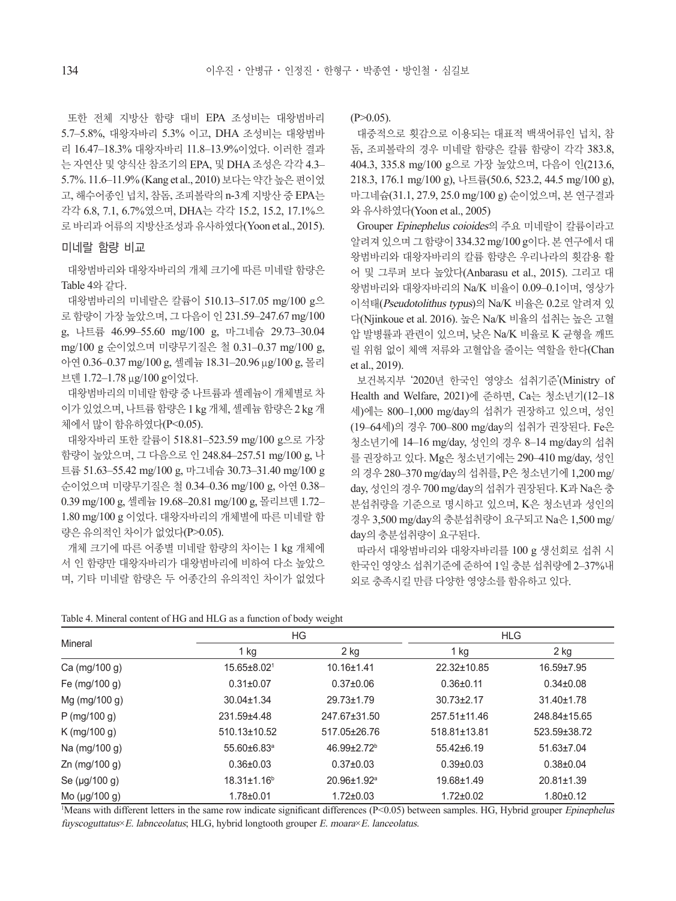또한 전체 지방산 함량 대비 EPA 조성비는 대왕범바리 5.7–5.8%, 대왕자바리 5.3% 이고, DHA 조성비는 대왕범바 리 16.47–18.3% 대왕자바리 11.8–13.9%이었다. 이러한 결과 는 자연산 및 양식산 참조기의 EPA, 및 DHA 조성은 각각 4.3– 5.7%. 11.6–11.9% (Kang et al., 2010) 보다는 약간 높은 편이었 고, 해수어종인 넙치, 참돔, 조피볼락의 n-3계 지방산 중 EPA는 각각 6.8, 7.1, 6.7%였으며, DHA는 각각 15.2, 15.2, 17.1%으 로 바리과 어류의 지방산조성과 유사하였다(Yoon et al., 2015).

#### 미네랄 함량 비교

대왕범바리와 대왕자바리의 개체 크기에 따른 미네랄 함량은 Table 4와 같다.

대왕범바리의 미네랄은 칼륨이 510.13–517.05 mg/100 g으 로 함량이 가장 높았으며, 그 다음이 인 231.59–247.67 mg/100 g, 나트륨 46.99–55.60 mg/100 g, 마그네슘 29.73–30.04 mg/100 g 순이었으며 미량무기질은 철 0.31–0.37 mg/100 g, 아연 0.36–0.37 mg/100 g, 셀레늄 18.31–20.96 μg/100 g, 몰리 브덴 1.72–1.78 μg/100 g이었다.

대왕범바리의 미네랄 함량 중 나트륨과 셀레늄이 개체별로 차 이가 있었으며, 나트륨 함량은 1 kg 개체, 셀레늄 함량은 2 kg 개 체에서 많이 함유하였다(P<0.05).

대왕자바리 또한 칼륨이 518.81–523.59 mg/100 g으로 가장 함량이 높았으며, 그 다음으로 인 248.84–257.51 mg/100 g, 나 트륨 51.63–55.42 mg/100 g, 마그네슘 30.73–31.40 mg/100 g 순이었으며 미량무기질은 철 0.34–0.36 mg/100 g, 아연 0.38– 0.39 mg/100 g, 셀레늄 19.68–20.81 mg/100 g, 몰리브덴 1.72– 1.80 mg/100 g 이었다. 대왕자바리의 개체별에 따른 미네랄 함 량은 유의적인 차이가 없었다(P>0.05).

개체 크기에 따른 어종별 미네랄 함량의 차이는 1 kg 개체에 서 인 함량만 대왕자바리가 대왕범바리에 비하여 다소 높았으 며, 기타 미네랄 함량은 두 어종간의 유의적인 차이가 없었다  $(P>0.05)$ .

대중적으로 횟감으로 이용되는 대표적 백색어류인 넙치, 참 돔, 조피볼락의 경우 미네랄 함량은 칼륨 함량이 각각 383.8, 404.3, 335.8 mg/100 g으로 가장 높았으며, 다음이 인(213.6, 218.3, 176.1 mg/100 g), 나트륨(50.6, 523.2, 44.5 mg/100 g), 마그네슘(31.1, 27.9, 25.0 mg/100 g) 순이었으며, 본 연구결과 와 유사하였다(Yoon et al., 2005)

Grouper Epinephelus coioides의 주요 미네랄이 칼륨이라고 알려져 있으며 그 함량이 334.32 mg/100 g이다. 본 연구에서 대 왕범바리와 대왕자바리의 칼륨 함량은 우리나라의 횟감용 활 어 및 그루퍼 보다 높았다(Anbarasu et al., 2015). 그리고 대 왕범바리와 대왕자바리의 Na/K 비율이 0.09–0.1이며, 영상가 이석태(Pseudotolithus typus)의 Na/K 비율은 0.2로 알려져 있 다(Njinkoue et al. 2016). 높은 Na/K 비율의 섭취는 높은 고혈 압 발병률과 관련이 있으며, 낮은 Na/K 비율로 K 균형을 깨뜨 릴 위험 없이 체액 저류와 고혈압을 줄이는 역할을 한다(Chan et al., 2019).

보건복지부 '2020년 한국인 영양소 섭취기준'(Ministry of Health and Welfare, 2021)에 준하면, Ca는 청소년기(12–18 세)에는 800–1,000 mg/day의 섭취가 권장하고 있으며, 성인 (19–64세)의 경우 700–800 mg/day의 섭취가 권장된다. Fe은 청소년기에 14–16 mg/day, 성인의 경우 8–14 mg/day의 섭취 를 권장하고 있다. Mg은 청소년기에는 290–410 mg/day, 성인 의 경우 280–370 mg/day의 섭취를, P은 청소년기에 1,200 mg/ day, 성인의 경우 700 mg/day의 섭취가 권장된다. K과 Na은 충 분섭취량을 기준으로 명시하고 있으며, K은 청소년과 성인의 경우 3,500 mg/day의 충분섭취량이 요구되고 Na은 1,500 mg/ day의 충분섭취량이 요구된다.

따라서 대왕범바리와 대왕자바리를 100 g 생선회로 섭취 시 한국인 영양소 섭취기준에 준하여 1일 충분 섭취량에 2–37%내 외로 충족시킬 만큼 다양한 영양소를 함유하고 있다.

| Table 4. Mineral content of HG and HLG as a function of body weight |  |  |  |  |  |  |  |
|---------------------------------------------------------------------|--|--|--|--|--|--|--|
|---------------------------------------------------------------------|--|--|--|--|--|--|--|

|                      |                               | ΗG                      | <b>HLG</b>       |                  |  |
|----------------------|-------------------------------|-------------------------|------------------|------------------|--|
| Mineral              | 1 kg                          | 2 kg                    | 1 kg             | 2 kg             |  |
| Ca (mg/100 g)        | $15.65 \pm 8.021$             | $10.16 \pm 1.41$        | 22.32±10.85      | 16.59±7.95       |  |
| Fe (mg/100 g)        | $0.31 \pm 0.07$               | $0.37 \pm 0.06$         | $0.36 \pm 0.11$  | $0.34\pm0.08$    |  |
| Mg (mg/100 g)        | $30.04 \pm 1.34$              | 29.73±1.79              | $30.73 \pm 2.17$ | 31.40±1.78       |  |
| $P$ (mg/100 g)       | 231.59±4.48                   | 247.67±31.50            | 257.51±11.46     | 248.84±15.65     |  |
| $K \, (mg/100 \, g)$ | 510.13±10.52                  | 517.05±26.76            | 518.81±13.81     | 523.59±38.72     |  |
| Na (mg/100 g)        | 55.60±6.83 <sup>a</sup>       | 46.99±2.72 <sup>b</sup> | 55.42±6.19       | $51.63 \pm 7.04$ |  |
| Zn (mg/100 g)        | $0.36 \pm 0.03$               | $0.37 \pm 0.03$         | $0.39 + 0.03$    | $0.38 + 0.04$    |  |
| Se $(\mu q/100 q)$   | $18.31 \pm 1.16$ <sup>b</sup> | 20.96±1.92 <sup>a</sup> | 19.68±1.49       | $20.81 \pm 1.39$ |  |
| Mo $(\mu q/100 q)$   | $1.78 + 0.01$                 | $1.72 \pm 0.03$         | $1.72 \pm 0.02$  | $1.80 \pm 0.12$  |  |

<sup>1</sup>Means with different letters in the same row indicate significant differences (P<0.05) between samples. HG, Hybrid grouper *Epinephelus* fuyscoguttatus×E. labnceolatus; HLG, hybrid longtooth grouper E. moara×E. lanceolatus.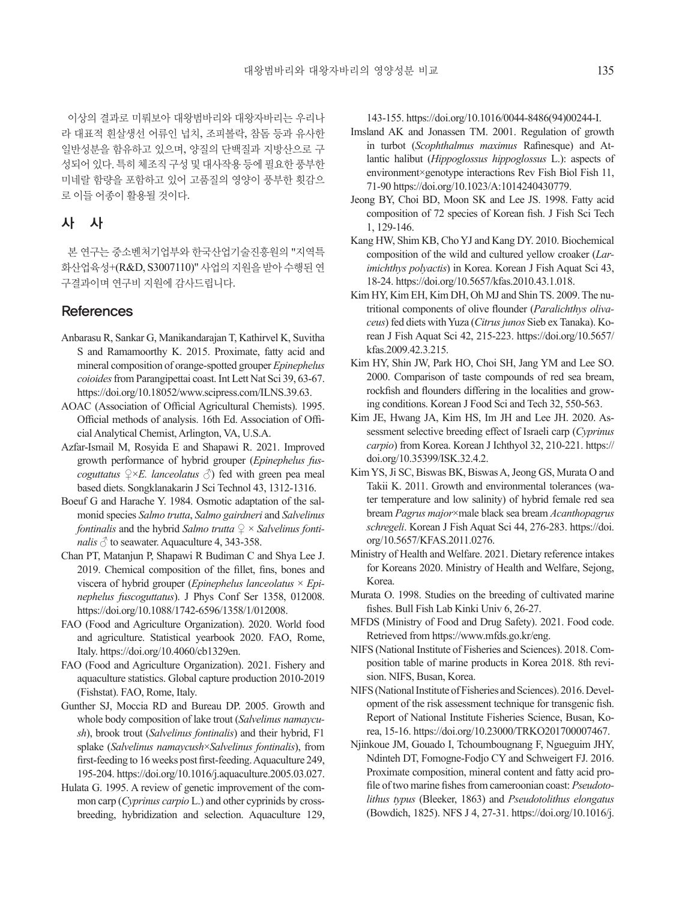이상의 결과로 미뤄보아 대왕범바리와 대왕자바리는 우리나 라 대표적 흰살생선 어류인 넙치, 조피볼락, 참돔 등과 유사한 일반성분을 함유하고 있으며, 양질의 단백질과 지방산으로 구 성되어 있다. 특히 체조직 구성 및 대사작용 등에 필요한 풍부한 미네랄 함량을 포함하고 있어 고품질의 영양이 풍부한 횟감으 로 이들 어종이 활용될 것이다.

#### 사 사

본 연구는 중소벤처기업부와 한국산업기술진흥원의 "지역특 화산업육성+(R&D, S3007110)" 사업의 지원을 받아 수행된 연 구결과이며 연구비 지원에 감사드립니다.

#### **References**

- Anbarasu R, Sankar G, Manikandarajan T, Kathirvel K, Suvitha S and Ramamoorthy K. 2015. Proximate, fatty acid and mineral composition of orange-spotted grouper *Epinephelus coioides* from Parangipettai coast. Int Lett Nat Sci 39, 63-67. https://doi.org/10.18052/www.scipress.com/ILNS.39.63.
- AOAC (Association of Official Agricultural Chemists). 1995. Official methods of analysis. 16th Ed. Association of Official Analytical Chemist, Arlington, VA, U.S.A.
- Azfar-Ismail M, Rosyida E and Shapawi R. 2021. Improved growth performance of hybrid grouper (*Epinephelus fuscoguttatus*  $\mathcal{Q} \times E$ *. lanceolatus*  $\mathcal{O}$  fed with green pea meal based diets. Songklanakarin J Sci Technol 43, 1312-1316.
- Boeuf G and Harache Y. 1984. Osmotic adaptation of the salmonid species *Salmo trutta*, *Salmo gairdneri* and *Salvelinus fontinalis* and the hybrid *Salmo trutta* ♀ × *Salvelinus fontinalis*  $\circled{}$  to seawater. Aquaculture 4, 343-358.
- Chan PT, Matanjun P, Shapawi R Budiman C and Shya Lee J. 2019. Chemical composition of the fillet, fins, bones and viscera of hybrid grouper (*Epinephelus lanceolatus* × *Epinephelus fuscoguttatus*). J Phys Conf Ser 1358, 012008. https://doi.org/10.1088/1742-6596/1358/1/012008.
- FAO (Food and Agriculture Organization). 2020. World food and agriculture. Statistical yearbook 2020. FAO, Rome, Italy. https://doi.org/10.4060/cb1329en.
- FAO (Food and Agriculture Organization). 2021. Fishery and aquaculture statistics. Global capture production 2010-2019 (Fishstat). FAO, Rome, Italy.
- Gunther SJ, Moccia RD and Bureau DP. 2005. Growth and whole body composition of lake trout (*Salvelinus namaycush*), brook trout (*Salvelinus fontinalis*) and their hybrid, F1 splake (*Salvelinus namaycush*×*Salvelinus fontinalis*), from first-feeding to 16 weeks post first-feeding. Aquaculture 249, 195-204. https://doi.org/10.1016/j.aquaculture.2005.03.027.
- Hulata G. 1995. A review of genetic improvement of the common carp (*Cyprinus carpio* L.) and other cyprinids by crossbreeding, hybridization and selection. Aquaculture 129,

143-155. https://doi.org/10.1016/0044-8486(94)00244-I.

- Imsland AK and Jonassen TM. 2001. Regulation of growth in turbot (*Scophthalmus maximus* Rafinesque) and Atlantic halibut (*Hippoglossus hippoglossus* L.): aspects of environment×genotype interactions Rev Fish Biol Fish 11, 71-90 https://doi.org/10.1023/A:1014240430779.
- Jeong BY, Choi BD, Moon SK and Lee JS. 1998. Fatty acid composition of 72 species of Korean fish. J Fish Sci Tech 1, 129-146.
- Kang HW, Shim KB, Cho YJ and Kang DY. 2010. Biochemical composition of the wild and cultured yellow croaker (*Larimichthys polyactis*) in Korea. Korean J Fish Aquat Sci 43, 18-24. https://doi.org/10.5657/kfas.2010.43.1.018.
- Kim HY, Kim EH, Kim DH, Oh MJ and Shin TS. 2009. The nutritional components of olive flounder (*Paralichthys olivaceus*) fed diets with Yuza (*Citrus junos* Sieb ex Tanaka). Korean J Fish Aquat Sci 42, 215-223. https://doi.org/10.5657/ kfas.2009.42.3.215.
- Kim HY, Shin JW, Park HO, Choi SH, Jang YM and Lee SO. 2000. Comparison of taste compounds of red sea bream, rockfish and flounders differing in the localities and growing conditions. Korean J Food Sci and Tech 32, 550-563.
- Kim JE, Hwang JA, Kim HS, Im JH and Lee JH. 2020. Assessment selective breeding effect of Israeli carp (*Cyprinus carpio*) from Korea. Korean J Ichthyol 32, 210-221. https:// doi.org/10.35399/ISK.32.4.2.
- Kim YS, Ji SC, Biswas BK, Biswas A, Jeong GS, Murata O and Takii K. 2011. Growth and environmental tolerances (water temperature and low salinity) of hybrid female red sea bream *Pagrus major*×male black sea bream *Acanthopagrus schregeli*. Korean J Fish Aquat Sci 44, 276-283. https://doi. org/10.5657/KFAS.2011.0276.
- Ministry of Health and Welfare. 2021. Dietary reference intakes for Koreans 2020. Ministry of Health and Welfare, Sejong, Korea.
- Murata O. 1998. Studies on the breeding of cultivated marine fishes. Bull Fish Lab Kinki Univ 6, 26-27.
- MFDS (Ministry of Food and Drug Safety). 2021. Food code. Retrieved from https://www.mfds.go.kr/eng.
- NIFS (National Institute of Fisheries and Sciences). 2018. Composition table of marine products in Korea 2018. 8th revision. NIFS, Busan, Korea.
- NIFS (National Institute of Fisheries and Sciences). 2016. Development of the risk assessment technique for transgenic fish. Report of National Institute Fisheries Science, Busan, Korea, 15-16. https://doi.org/10.23000/TRKO201700007467.
- Njinkoue JM, Gouado I, Tchoumbougnang F, Ngueguim JHY, Ndinteh DT, Fomogne-Fodjo CY and Schweigert FJ. 2016. Proximate composition, mineral content and fatty acid profile of two marine fishes from cameroonian coast: *Pseudotolithus typus* (Bleeker, 1863) and *Pseudotolithus elongatus* (Bowdich, 1825). NFS J 4, 27-31. https://doi.org/10.1016/j.